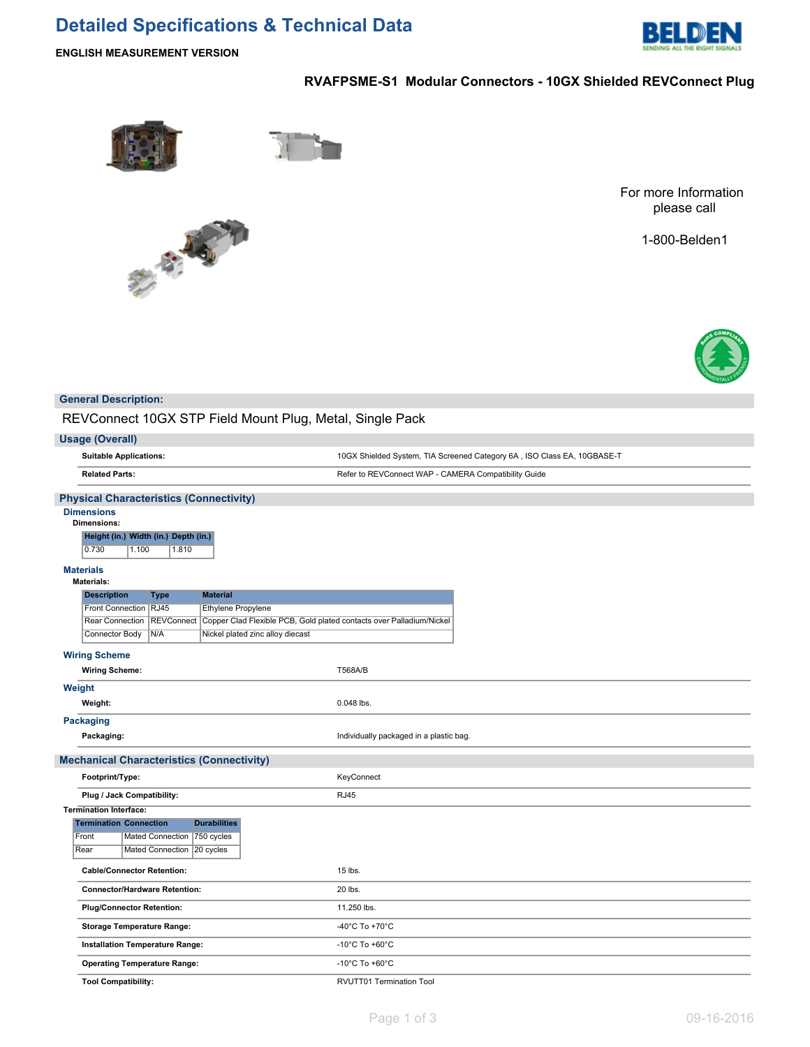# **Detailed Specifications & Technical Data**



**ENGLISH MEASUREMENT VERSION**

## **RVAFPSME-S1 Modular Connectors - 10GX Shielded REVConnect Plug**



不安



1-800-Belden1



### **General Description:**

REVConnect 10GX STP Field Mount Plug, Metal, Single Pack

| <b>Usage (Overall)</b>                                                                                       |                                                                         |  |  |  |  |
|--------------------------------------------------------------------------------------------------------------|-------------------------------------------------------------------------|--|--|--|--|
| <b>Suitable Applications:</b>                                                                                | 10GX Shielded System, TIA Screened Category 6A, ISO Class EA, 10GBASE-T |  |  |  |  |
| <b>Related Parts:</b>                                                                                        | Refer to REVConnect WAP - CAMERA Compatibility Guide                    |  |  |  |  |
| <b>Physical Characteristics (Connectivity)</b>                                                               |                                                                         |  |  |  |  |
| <b>Dimensions</b><br><b>Dimensions:</b>                                                                      |                                                                         |  |  |  |  |
| Height (in.) Width (in.) Depth (in.)<br>0.730<br>1.100<br>1.810                                              |                                                                         |  |  |  |  |
| <b>Materials</b><br>Materials:                                                                               |                                                                         |  |  |  |  |
| <b>Description</b><br><b>Material</b><br>Type                                                                |                                                                         |  |  |  |  |
| Front Connection RJ45<br>Ethylene Propylene                                                                  |                                                                         |  |  |  |  |
| <b>REVConnect</b><br>Copper Clad Flexible PCB, Gold plated contacts over Palladium/Nickel<br>Rear Connection |                                                                         |  |  |  |  |
| N/A<br>Nickel plated zinc alloy diecast<br>Connector Body                                                    |                                                                         |  |  |  |  |
| <b>Wiring Scheme</b>                                                                                         |                                                                         |  |  |  |  |
| <b>Wiring Scheme:</b>                                                                                        | T568A/B                                                                 |  |  |  |  |
| Weight                                                                                                       |                                                                         |  |  |  |  |
| Weight:                                                                                                      | 0.048 lbs.                                                              |  |  |  |  |
| <b>Packaging</b>                                                                                             |                                                                         |  |  |  |  |
| Packaging:                                                                                                   | Individually packaged in a plastic bag.                                 |  |  |  |  |
| <b>Mechanical Characteristics (Connectivity)</b>                                                             |                                                                         |  |  |  |  |
| Footprint/Type:                                                                                              | KeyConnect                                                              |  |  |  |  |
| Plug / Jack Compatibility:                                                                                   | <b>RJ45</b>                                                             |  |  |  |  |
| <b>Termination Interface:</b>                                                                                |                                                                         |  |  |  |  |
| <b>Durabilities</b><br><b>Termination Connection</b>                                                         |                                                                         |  |  |  |  |
| Mated Connection 750 cycles<br>Front                                                                         |                                                                         |  |  |  |  |
| Mated Connection   20 cycles<br>Rear                                                                         |                                                                         |  |  |  |  |
| <b>Cable/Connector Retention:</b>                                                                            | 15 lbs.                                                                 |  |  |  |  |
| <b>Connector/Hardware Retention:</b>                                                                         | 20 lbs.                                                                 |  |  |  |  |
| <b>Plug/Connector Retention:</b>                                                                             | 11.250 lbs.                                                             |  |  |  |  |
| <b>Storage Temperature Range:</b>                                                                            | -40°C To +70°C                                                          |  |  |  |  |
| Installation Temperature Range:                                                                              | -10 $^{\circ}$ C To +60 $^{\circ}$ C                                    |  |  |  |  |
| <b>Operating Temperature Range:</b>                                                                          | -10 $^{\circ}$ C To +60 $^{\circ}$ C                                    |  |  |  |  |
| <b>Tool Compatibility:</b>                                                                                   | RVUTT01 Termination Tool                                                |  |  |  |  |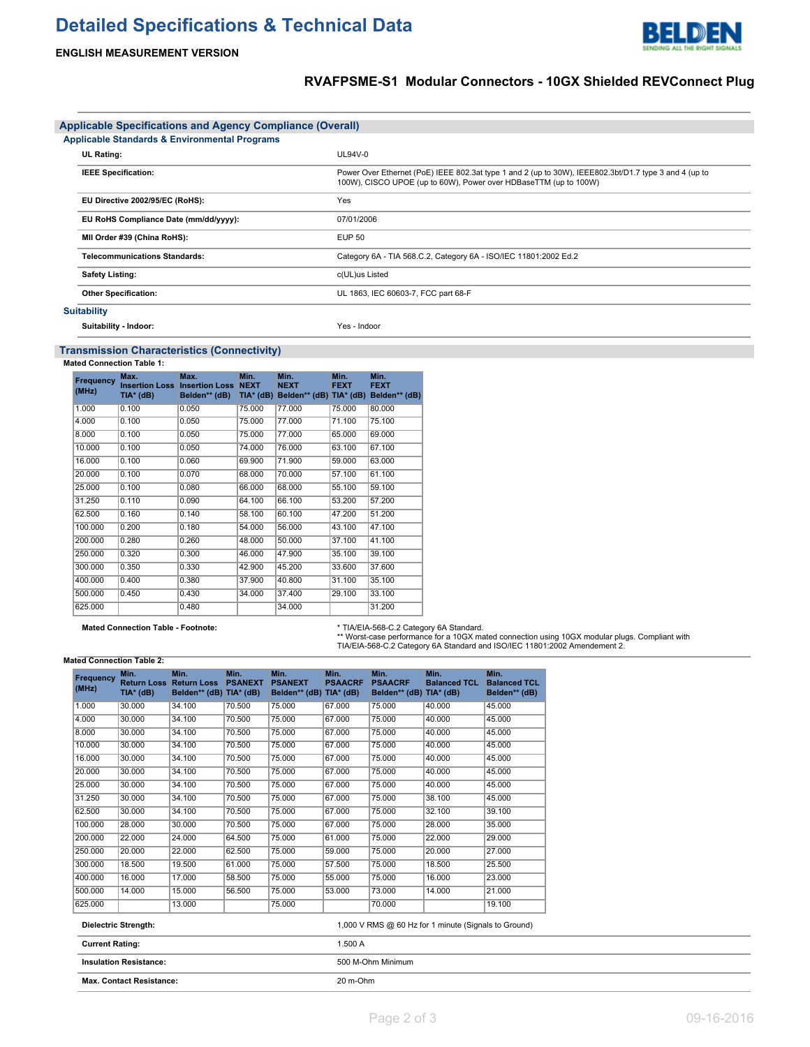# **Detailed Specifications & Technical Data**



## **RVAFPSME-S1 Modular Connectors - 10GX Shielded REVConnect Plug**

DEN

ЫI

|                                                          | <b>Applicable Specifications and Agency Compliance (Overall)</b> |                                                                                                                                                                           |  |  |  |  |  |  |
|----------------------------------------------------------|------------------------------------------------------------------|---------------------------------------------------------------------------------------------------------------------------------------------------------------------------|--|--|--|--|--|--|
| <b>Applicable Standards &amp; Environmental Programs</b> |                                                                  |                                                                                                                                                                           |  |  |  |  |  |  |
|                                                          | <b>UL Rating:</b>                                                | UL94V-0                                                                                                                                                                   |  |  |  |  |  |  |
|                                                          | <b>IEEE Specification:</b>                                       | Power Over Ethernet (PoE) IEEE 802.3at type 1 and 2 (up to 30W), IEEE802.3bt/D1.7 type 3 and 4 (up to<br>100W), CISCO UPOE (up to 60W), Power over HDBaseTTM (up to 100W) |  |  |  |  |  |  |
|                                                          | EU Directive 2002/95/EC (RoHS):                                  | Yes                                                                                                                                                                       |  |  |  |  |  |  |
|                                                          | EU RoHS Compliance Date (mm/dd/yyyy):                            | 07/01/2006                                                                                                                                                                |  |  |  |  |  |  |
|                                                          | MII Order #39 (China RoHS):                                      | EUP 50                                                                                                                                                                    |  |  |  |  |  |  |
|                                                          | <b>Telecommunications Standards:</b>                             | Category 6A - TIA 568.C.2, Category 6A - ISO/IEC 11801:2002 Ed.2                                                                                                          |  |  |  |  |  |  |
|                                                          | <b>Safety Listing:</b>                                           | c(UL)us Listed                                                                                                                                                            |  |  |  |  |  |  |
|                                                          | <b>Other Specification:</b>                                      | UL 1863, IEC 60603-7, FCC part 68-F                                                                                                                                       |  |  |  |  |  |  |
|                                                          | <b>Suitability</b>                                               |                                                                                                                                                                           |  |  |  |  |  |  |
|                                                          | Suitability - Indoor:                                            | Yes - Indoor                                                                                                                                                              |  |  |  |  |  |  |

### **Transmission Characteristics (Connectivity)**

**Mated Connection Table 1:**

| Frequency<br>(MHz) | Max.<br><b>Insertion Loss</b><br>TIA* (dB) | Max.<br><b>Insertion Loss NEXT</b><br>Belden** (dB) | Min.<br>$TIA*$ (dB) | Min.<br><b>NEXT</b><br>Belden** (dB) TIA* (dB) | Min.<br><b>FEXT</b> | Min.<br><b>FEXT</b><br>Belden** (dB) |
|--------------------|--------------------------------------------|-----------------------------------------------------|---------------------|------------------------------------------------|---------------------|--------------------------------------|
| 1.000              | 0.100                                      | 0.050                                               | 75.000              | 77.000                                         | 75.000              | 80.000                               |
| 4.000              | 0.100                                      | 0.050                                               | 75,000              | 77.000                                         | 71.100              | 75.100                               |
| 8.000              | 0.100                                      | 0.050                                               | 75,000              | 77.000                                         | 65.000              | 69.000                               |
| 10.000             | 0.100                                      | 0.050                                               | 74.000              | 76,000                                         | 63.100              | 67.100                               |
| 16.000             | 0.100                                      | 0.060                                               | 69.900              | 71.900                                         | 59.000              | 63.000                               |
| 20.000             | 0.100                                      | 0.070                                               | 68,000              | 70.000                                         | 57.100              | 61.100                               |
| 25.000             | 0.100                                      | 0.080                                               | 66.000              | 68,000                                         | 55.100              | 59.100                               |
| 31.250             | 0.110                                      | 0.090                                               | 64.100              | 66.100                                         | 53.200              | 57.200                               |
| 62.500             | 0.160                                      | 0.140                                               | 58.100              | 60.100                                         | 47.200              | 51.200                               |
| 100.000            | 0.200                                      | 0.180                                               | 54.000              | 56.000                                         | 43.100              | 47.100                               |
| 200.000            | 0.280                                      | 0.260                                               | 48.000              | 50.000                                         | 37.100              | 41.100                               |
| 250.000            | 0.320                                      | 0.300                                               | 46.000              | 47.900                                         | 35.100              | 39.100                               |
| 300.000            | 0.350                                      | 0.330                                               | 42.900              | 45.200                                         | 33.600              | 37.600                               |
| 400.000            | 0.400                                      | 0.380                                               | 37.900              | 40.800                                         | 31.100              | 35.100                               |
| 500.000            | 0.450                                      | 0.430                                               | 34.000              | 37.400                                         | 29.100              | 33.100                               |
| 625.000            |                                            | 0.480                                               |                     | 34.000                                         |                     | 31.200                               |

**Mated Connection Table - Footnote:** \* TIA/EIA-568-C.2 Category 6A Standard. \*\* Worst-case performance for a 10GX mated connection using 10GX modular plugs. Compliant with TIA/EIA-568-C.2 Category 6A Standard and ISO/IEC 11801:2002 Amendement 2.

#### **Mated Connection Table 2:**

| <b>Frequency</b><br>(MHz) | Min.<br><b>Return Loss</b><br>$TIA*$ (dB) | Min.<br><b>Return Loss</b><br>Belden** (dB) TIA* (dB) | Min.<br><b>PSANEXT</b> | Min.<br><b>PSANEXT</b><br>Belden** (dB) TIA* (dB) | Min.<br><b>PSAACRF</b> | Min.<br><b>PSAACRF</b><br>Belden** (dB) TIA* (dB) | Min.<br><b>Balanced TCL</b>                          | Min.<br><b>Balanced TCL</b><br>Belden** (dB) |
|---------------------------|-------------------------------------------|-------------------------------------------------------|------------------------|---------------------------------------------------|------------------------|---------------------------------------------------|------------------------------------------------------|----------------------------------------------|
| 1.000                     | 30.000                                    | 34.100                                                | 70.500                 | 75.000                                            | 67.000                 | 75.000                                            | 40.000                                               | 45.000                                       |
| 4.000                     | 30.000                                    | 34.100                                                | 70.500                 | 75.000                                            | 67.000                 | 75.000                                            | 40.000                                               | 45.000                                       |
| 8.000                     | 30.000                                    | 34.100                                                | 70.500                 | 75.000                                            | 67.000                 | 75.000                                            | 40.000                                               | 45.000                                       |
| 10.000                    | 30.000                                    | 34.100                                                | 70.500                 | 75.000                                            | 67.000                 | 75.000                                            | 40.000                                               | 45.000                                       |
| 16.000                    | 30.000                                    | 34.100                                                | 70.500                 | 75.000                                            | 67.000                 | 75.000                                            | 40.000                                               | 45.000                                       |
| 20.000                    | 30.000                                    | 34.100                                                | 70.500                 | 75.000                                            | 67.000                 | 75.000                                            | 40.000                                               | 45.000                                       |
| 25.000                    | 30.000                                    | 34.100                                                | 70.500                 | 75.000                                            | 67.000                 | 75.000                                            | 40.000                                               | 45.000                                       |
| 31.250                    | 30.000                                    | 34.100                                                | 70.500                 | 75.000                                            | 67.000                 | 75.000                                            | 38.100                                               | 45.000                                       |
| 62.500                    | 30.000                                    | 34.100                                                | 70.500                 | 75.000                                            | 67.000                 | 75.000                                            | 32.100                                               | 39.100                                       |
| 100.000                   | 28.000                                    | 30.000                                                | 70.500                 | 75.000                                            | 67.000                 | 75.000                                            | 28.000                                               | 35.000                                       |
| 200.000                   | 22.000                                    | 24.000                                                | 64.500                 | 75.000                                            | 61.000                 | 75.000                                            | 22.000                                               | 29,000                                       |
| 250.000                   | 20.000                                    | 22.000                                                | 62.500                 | 75.000                                            | 59.000                 | 75.000                                            | 20.000                                               | 27.000                                       |
| 300.000                   | 18.500                                    | 19.500                                                | 61.000                 | 75.000                                            | 57,500                 | 75.000                                            | 18.500                                               | 25.500                                       |
| 400.000                   | 16.000                                    | 17.000                                                | 58.500                 | 75.000                                            | 55.000                 | 75.000                                            | 16.000                                               | 23.000                                       |
| 500.000                   | 14.000                                    | 15.000                                                | 56.500                 | 75.000                                            | 53.000                 | 73.000                                            | 14.000                                               | 21.000                                       |
| 625.000                   |                                           | 13.000                                                |                        | 75.000                                            |                        | 70.000                                            |                                                      | 19.100                                       |
|                           | <b>Dielectric Strength:</b>               |                                                       |                        |                                                   |                        |                                                   | 1,000 V RMS @ 60 Hz for 1 minute (Signals to Ground) |                                              |
| <b>Current Rating:</b>    |                                           |                                                       |                        |                                                   | 1.500 A                |                                                   |                                                      |                                              |
|                           | <b>Insulation Resistance:</b>             |                                                       |                        |                                                   | 500 M-Ohm Minimum      |                                                   |                                                      |                                              |
|                           | <b>Max. Contact Resistance:</b>           |                                                       |                        | 20 m-Ohm                                          |                        |                                                   |                                                      |                                              |